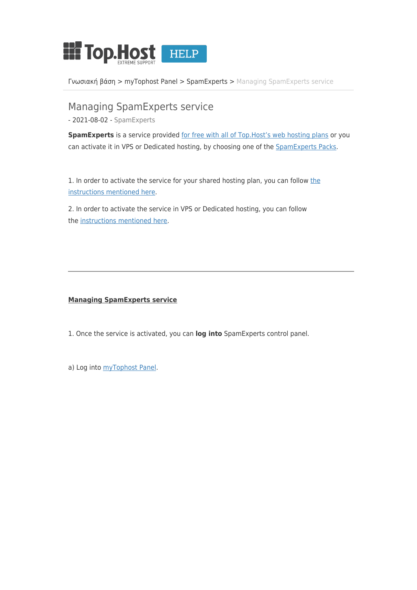

[Γνωσιακή βάση](https://help.top.host/el/kb) > [myTophost Panel](https://help.top.host/el/kb/mytophost-panel) > [SpamExperts](https://help.top.host/el/kb/spamexperts) > [Managing SpamExperts service](https://help.top.host/el/kb/articles/managing-spamexperts-service)

Managing SpamExperts service - 2021-08-02 - [SpamExperts](https://help.top.host/el/kb/spamexperts)

**SpamExperts** is a service provided [for free with all of Top.Host's web hosting plans](https://top.host/spam-experts.htm) or you can activate it in VPS or Dedicated hosting, by choosing one of the [SpamExperts Packs](https://top.host/spam-experts-packs.htm).

1. In order to activate [the](https://top.host/support/kb/article/%CE%A0%CF%8E%CF%82-%CE%B5%CE%BD%CE%B5%CF%81%CE%B3%CE%BF%CF%80%CE%BF%CE%B9%CF%8E-%CF%84%CE%B7%CE%BD-%CF%85%CF%80%CE%B7%CF%81%CE%B5%CF%83%CE%AF%CE%B1-spamexperts-%CF%83%CF%84%CE%BF-hosting-%CE%BC%CE%BF%CF%85%3b-1015.html) service for your shared hosting plan, you can follow the [instructions mentioned here.](https://top.host/support/kb/article/%CE%A0%CF%8E%CF%82-%CE%B5%CE%BD%CE%B5%CF%81%CE%B3%CE%BF%CF%80%CE%BF%CE%B9%CF%8E-%CF%84%CE%B7%CE%BD-%CF%85%CF%80%CE%B7%CF%81%CE%B5%CF%83%CE%AF%CE%B1-spamexperts-%CF%83%CF%84%CE%BF-hosting-%CE%BC%CE%BF%CF%85%3b-1015.html)

2. In order to activate the service in VPS or Dedicated hosting, you can follow the [instructions mentioned here.](https://top.host/support/kb/article/%CE%A0%CF%8E%CF%82-%CE%B5%CE%BD%CE%B5%CF%81%CE%B3%CE%BF%CF%80%CE%BF%CE%B9%CF%8E-%CF%84%CE%B7%CE%BD-%CF%85%CF%80%CE%B7%CF%81%CE%B5%CF%83%CE%AF%CE%B1-spamexperts-%CF%83%CE%B5-vps-%CE%AE-dedicated-server-%CF%86%CE%B9%CE%BB%CE%BF%CE%BE%CE%B5%CE%BD%CE%AF%CE%B1%3b-962.html)

## **Managing SpamExperts service**

- 1. Once the service is activated, you can **log into** SpamExperts control panel.
- a) Log into [myTophost Panel](https://top.host/myTophost/).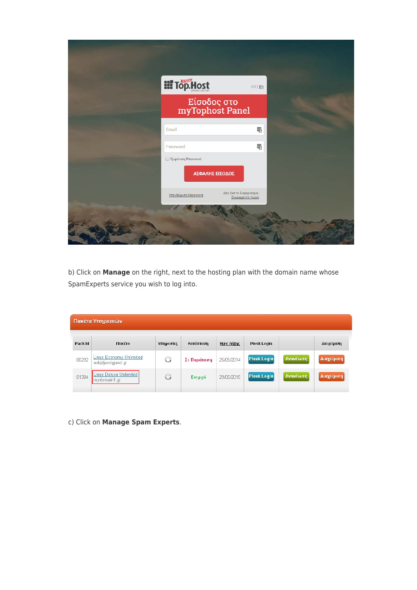|                               | <b>HITOP.Host</b><br>Είσοδος στο<br>myTophost Panel |                                          |  |
|-------------------------------|-----------------------------------------------------|------------------------------------------|--|
|                               |                                                     |                                          |  |
| Email                         |                                                     | ٣                                        |  |
| Password<br>Eμφάνιση Password |                                                     | $\frac{1}{6}$                            |  |
|                               | ΑΣΦΑΛΗΣ ΕΙΣΟΔΟΣ                                     |                                          |  |
|                               | Υπενθύμιση Password<br>A                            | Δεν έχετε λογαριασμό;<br>Εγγραφείτε τώρα |  |

b) Click on **Manage** on the right, next to the hosting plan with the domain name whose SpamExperts service you wish to log into.

| Πακέτα Υπηρεσιών |                                                     |           |             |            |                    |          |            |
|------------------|-----------------------------------------------------|-----------|-------------|------------|--------------------|----------|------------|
| Pack Id          | Πακέτο                                              | Υπηρεσίες | Κατάσταση   | Ημ/α λήξης | Plesk Login        |          | Διαχείριση |
| 80292            | <b>Linux Economy Unlimited</b><br>askidjasdgjasd.gr | G         | Σε Παράταση | 25/05/2014 | <b>Plesk Login</b> | Ανανέωση | Διαχείριση |
| 81384            | Linux Deluxe Unlimited<br>mydomain1.gr              | G         | Ενεργό      | 29/05/2015 | <b>Plesk Login</b> | Ανανέωση | Διαχείριση |

c) Click on **Manage Spam Experts**.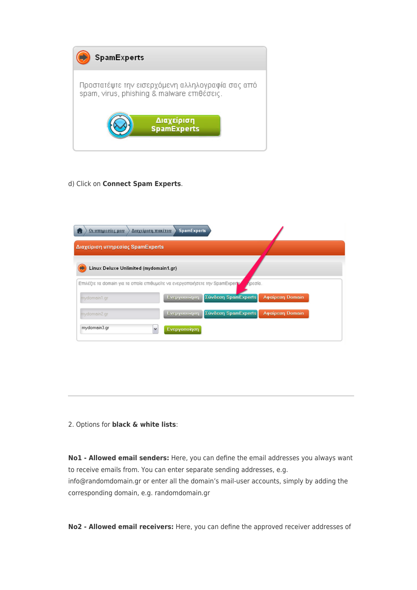

## d) Click on **Connect Spam Experts**.

| Οι υπηρεσίες μου<br>Διαχείριση πακέτου | <b>SpamExperts</b>                                                           |                                        |
|----------------------------------------|------------------------------------------------------------------------------|----------------------------------------|
| Διαχείριση υπηρεσίας SpamExperts       |                                                                              |                                        |
| Linux Deluxe Unlimited (mydomain1.gr)  |                                                                              |                                        |
|                                        | Επιλέξτε τα domain για τα οποία επιθυμείτε να ενεργοποιήσετε την SpamExperty | ήρεσία.                                |
| mydomain1.gr                           | Ενεργοποίηση                                                                 | Σύνδεση SpamExperts<br>Αφαίρεση Domain |
| mydomain2.gr                           | Ενεργοποίηση                                                                 | Σύνδεση SpamExperts<br>Αφαίρεση Domain |
|                                        |                                                                              |                                        |

## 2. Options for **black & white lists**:

**Νο1 - Allowed email senders:** Here, you can define the email addresses you always want to receive emails from. You can enter separate sending addresses, e.g. info@randomdomain.gr or enter all the domain's mail-user accounts, simply by adding the corresponding domain, e.g. randomdomain.gr

**Νο2 - Allowed email receivers:** Here, you can define the approved receiver addresses of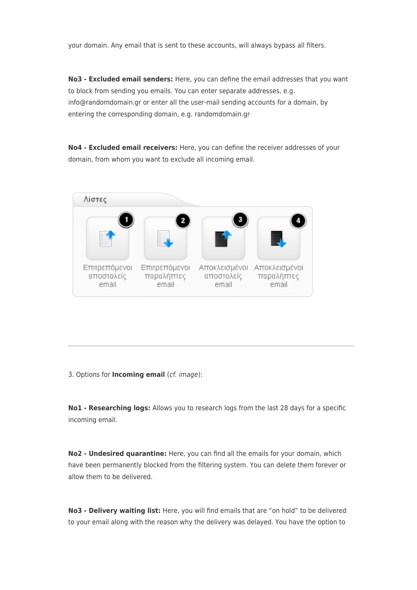your domain. Any email that is sent to these accounts, will always bypass all filters.

**Νο3 - Excluded email senders:** Here, you can define the email addresses that you want to block from sending you emails. You can enter separate addresses, e.g. info@randomdomain.gr or enter all the user-mail sending accounts for a domain, by entering the corresponding domain, e.g. randomdomain.gr

**Νο4 - Excluded email receivers:** Here, you can define the receiver addresses of your domain, from whom you want to exclude all incoming email.



3. Options for **Incoming email** (cf. image):

**Νο1 - Researching logs:** Allows you to research logs from the last 28 days for a specific incoming email.

**Νο2 - Undesired quarantine:** Here, you can find all the emails for your domain, which have been permanently blocked from the filtering system. You can delete them forever or allow them to be delivered.

**Νο3 - Delivery waiting list:** Here, you will find emails that are "on hold" to be delivered to your email along with the reason why the delivery was delayed. You have the option to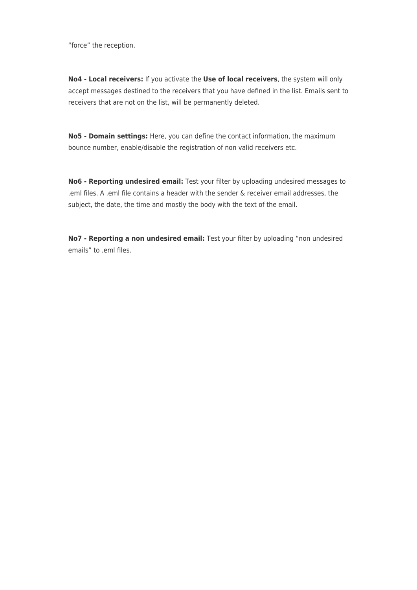"force" the reception.

**Νο4 - Local receivers:** If you activate the **Use of local receivers**, the system will only accept messages destined to the receivers that you have defined in the list. Εmails sent to receivers that are not on the list, will be permanently deleted.

**Νο5 - Domain settings:** Here, you can define the contact information, the maximum bounce number, enable/disable the registration of non valid receivers etc.

**Νο6 - Reporting undesired email:** Test your filter by uploading undesired messages to .eml files. A .eml file contains a header with the sender & receiver email addresses, the subject, the date, the time and mostly the body with the text of the email.

**Νο7 - Reporting a non undesired email:** Test your filter by uploading "non undesired emails" to .eml files.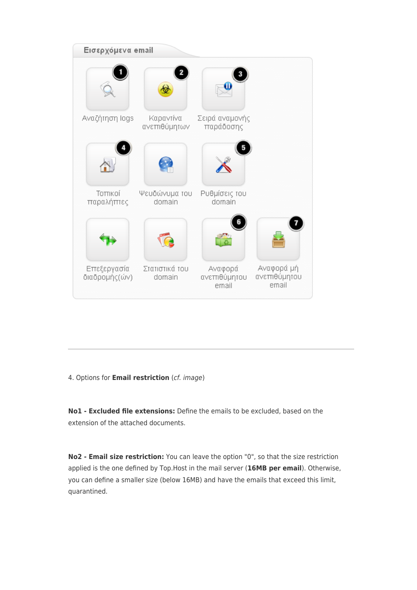

4. Options for **Email restriction** (cf. image)

**No1 - Excluded file extensions:** Define the emails to be excluded, based on the extension of the attached documents.

**No2 - Email size restriction:** You can leave the option "0", so that the size restriction applied is the one defined by Top.Host in the mail server (**16MB per email**). Otherwise, you can define a smaller size (below 16ΜΒ) and have the emails that exceed this limit, quarantined.